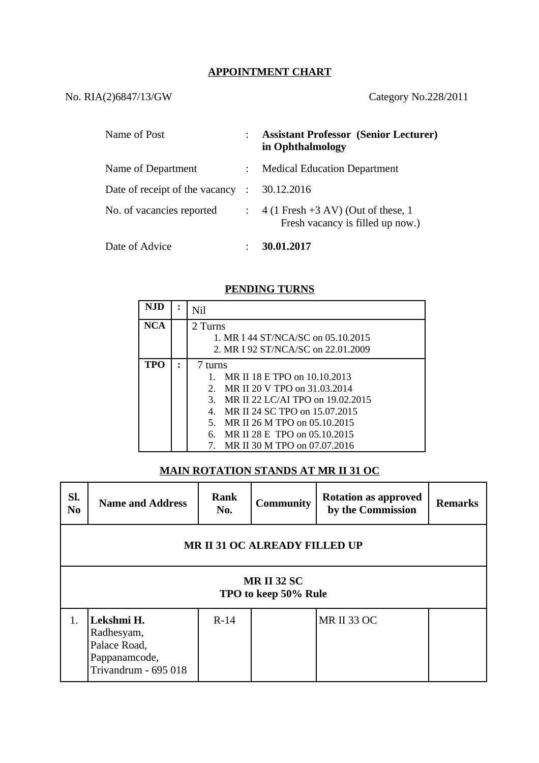## **APPOINTMENT CHART**

# No. RIA(2)6847/13/GW Category No.228/2011

| Name of Post                     | <b>Assistant Professor (Senior Lecturer)</b><br>in Ophthalmology        |
|----------------------------------|-------------------------------------------------------------------------|
| Name of Department               | <b>Medical Education Department</b>                                     |
| Date of receipt of the vacancy : | 30.12.2016                                                              |
| No. of vacancies reported        | $4(1$ Fresh +3 AV) (Out of these, 1<br>Fresh vacancy is filled up now.) |
| Date of Advice                   | 30.01.2017                                                              |

### **PENDING TURNS**

| NJD | Nil                                            |  |  |
|-----|------------------------------------------------|--|--|
| NCA | 2 Turns                                        |  |  |
|     | 1. MR I 44 ST/NCA/SC on 05.10.2015             |  |  |
|     | 2. MR I 92 ST/NCA/SC on 22.01.2009             |  |  |
| TPO | 7 turns                                        |  |  |
|     | MR II 18 E TPO on 10.10.2013<br>$\mathbf{1}$ . |  |  |
|     | MR II 20 V TPO on 31,03,2014<br>$2^{\circ}$    |  |  |
|     | MR II 22 LC/AI TPO on 19.02.2015<br>3.         |  |  |
|     | MR II 24 SC TPO on 15.07.2015<br>4.            |  |  |
|     | MR II 26 M TPO on 05.10.2015<br>5.             |  |  |
|     | MR II 28 E TPO on 05.10.2015<br>6.             |  |  |
|     | MR II 30 M TPO on 07.07.2016                   |  |  |

#### **MAIN ROTATION STANDS AT MR II 31 OC**

| SI.<br>N <sub>0</sub>                     | <b>Name and Address</b>                                                           | Rank<br>No. | <b>Community</b> | <b>Rotation as approved</b><br>by the Commission | Remarks |  |  |  |
|-------------------------------------------|-----------------------------------------------------------------------------------|-------------|------------------|--------------------------------------------------|---------|--|--|--|
| <b>MRII 31 OC ALREADY FILLED UP</b>       |                                                                                   |             |                  |                                                  |         |  |  |  |
| <b>MRII 32 SC</b><br>TPO to keep 50% Rule |                                                                                   |             |                  |                                                  |         |  |  |  |
| 1.                                        | Lekshmi H.<br>Radhesyam,<br>Palace Road,<br>Pappanamcode,<br>Trivandrum - 695 018 | $R-14$      |                  | <b>MR II 33 OC</b>                               |         |  |  |  |